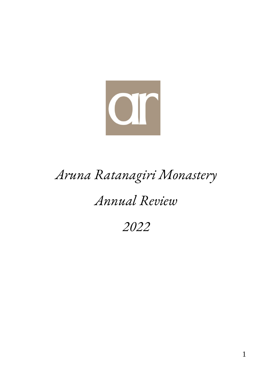

# *Aruna Ratanagiri Monastery*

# *Annual Review*

# *2022*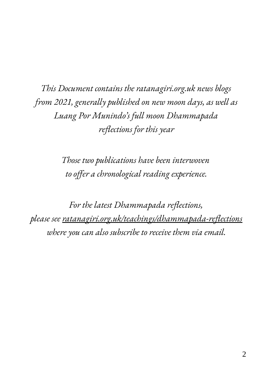*This Document contains the ratanagiri.org.uk news blogs from 2021, generally published on new moon days, as well as Luang Por Munindo's full moon Dhammapada reflections for this year*

> *Those two publications have been interwoven to offer a chronological reading experience.*

*For the latest Dhammapada reflections, please see ratanagiri.org.uk/teachings/dhammapada-reflections where you can also subscribe to receive them via email.*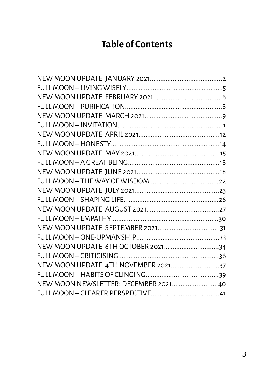#### **Table of Contents**

| NEW MOON UPDATE: 6TH OCTOBER 202134  |  |
|--------------------------------------|--|
|                                      |  |
| NEW MOON UPDATE: 4TH NOVEMBER 202137 |  |
|                                      |  |
| NEW MOON NEWSLETTER: DECEMBER 202140 |  |
|                                      |  |
|                                      |  |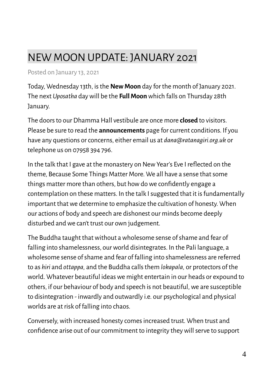### <span id="page-3-0"></span>NEW MOON UPDATE: JANUARY 2021

Posted on January 13, 2021

Today, Wednesday 13th, is the **New Moon** day for the month of January 2021. The next *Uposatha* day will be the **Full Moon** which falls on Thursday 28th January.

The doors to our Dhamma Hall vestibule are once more **closed** to visitors. Please be sure to read the **announcements** page for current conditions. If you have any questions or concerns, either email us at *dana@ratanagiri.org.uk* or telephone us on 07958 394 796.

In the talk that I gave at the monastery on New Year's Eve I reflected on the theme, Because Some Things Matter More. We all have a sense that some things matter more than others, but how do we confidently engage a contemplation on these matters. In the talk I suggested that it is fundamentally important that we determine to emphasize the cultivation of honesty. When our actions of body and speech are dishonest our minds become deeply disturbed and we can't trust our own judgement.

The Buddha taught that without a wholesome sense of shame and fear of falling into shamelessness, our world disintegrates. In the Pali language, a wholesome sense of shame and fear of falling into shamelessness are referred to as *hiri* and *ottappa,* and the Buddha calls them *lokapala,* or protectors of the world. Whatever beautiful ideas we might entertain in our heads or expound to others, if our behaviour of body and speech is not beautiful, we are susceptible to disintegration - inwardly and outwardly i.e. our psychological and physical worlds are at risk of falling into chaos.

Conversely, with increased honesty comes increased trust. When trust and confidence arise out of our commitment to integrity they will serve to support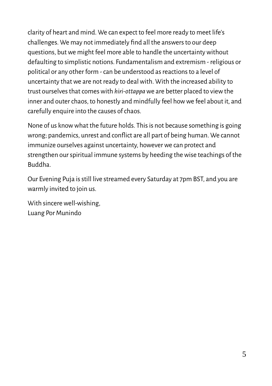clarity of heart and mind. We can expect to feel more ready to meet life's challenges. We may not immediately find all the answers to our deep questions, but we might feel more able to handle the uncertainty without defaulting to simplistic notions. Fundamentalism and extremism - religious or political or any other form - can be understood as reactions to a level of uncertainty that we are not ready to deal with. With the increased ability to trust ourselves that comes with *hiri-ottappa* we are better placed to view the inner and outer chaos, to honestly and mindfully feel how we feel about it, and carefully enquire into the causes of chaos.

None of us know what the future holds. This is not because something is going wrong; pandemics, unrest and conflict are all part of being human. We cannot immunize ourselves against uncertainty, however we can protect and strengthen our spiritual immune systems by heeding the wise teachings of the Buddha.

Our Evening Puja is still live streamed every Saturday at 7pm BST, and you are warmly invited to join us.

With sincere well-wishing, Luang Por Munindo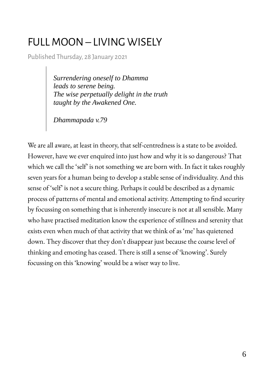#### <span id="page-5-0"></span>FULL MOON – LIVING WISELY

Published Thursday, 28 January 2021

*Surrendering oneself to Dhamma leads to serene being. The wise perpetually delight in the truth taught by the Awakened One.*

*Dhammapada v.79*

We are all aware, at least in theory, that self-centredness is a state to be avoided. However, have we ever enquired into just how and why it is so dangerous? That which we call the 'self' is not something we are born with. In fact it takes roughly seven years for a human being to develop a stable sense of individuality. And this sense of 'self' is not a secure thing. Perhaps it could be described as a dynamic process of patterns of mental and emotional activity. Attempting to find security by focussing on something that is inherently insecure is not at all sensible. Many who have practised meditation know the experience of stillness and serenity that exists even when much of that activity that we think of as 'me' has quietened down. They discover that they don't disappear just because the coarse level of thinking and emoting has ceased. There is still a sense of 'knowing'. Surely focussing on this 'knowing' would be a wiser way to live.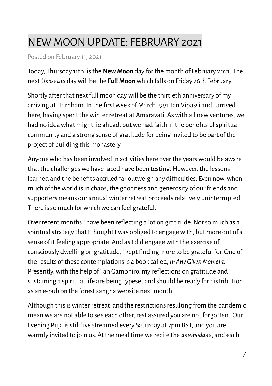### <span id="page-6-0"></span>NEW MOON UPDATE: FEBRUARY 2021

Posted on February 11, 2021

Today, Thursday 11th, is the **New Moon** day for the month of February 2021. The next *Uposatha* day will be the **Full Moon** which falls on Friday 26th February.

Shortly after that next full moon day will be the thirtieth anniversary of my arriving at Harnham. In the first week of March 1991 Tan Vipassi and I arrived here, having spent the winter retreat at Amaravati. As with all new ventures, we had no idea what might lie ahead, but we had faith in the benefits of spiritual community and a strong sense of gratitude for being invited to be part of the project of building this monastery.

Anyone who has been involved in activities here over the years would be aware that the challenges we have faced have been testing. However, the lessons learned and the benefits accrued far outweigh any difficulties. Even now, when much of the world is in chaos, the goodness and generosity of our friends and supporters means our annual winter retreat proceeds relatively uninterrupted. There is so much for which we can feel grateful.

Over recent months I have been reflecting a lot on gratitude. Not so much as a spiritual strategy that I thought I was obliged to engage with, but more out of a sense of it feeling appropriate. And as I did engage with the exercise of consciously dwelling on gratitude, I kept finding more to be grateful for. One of the results of these contemplations is a book called, *In Any Given Moment.*  Presently, with the help of Tan Gambhiro, my reflections on gratitude and sustaining a spiritual life are being typeset and should be ready for distribution as an e-pub on the forest sangha website next month.

Although this is winter retreat, and the restrictions resulting from the pandemic mean we are not able to see each other, rest assured you are not forgotten. Our Evening Puja is still live streamed every Saturday at 7pm BST, and you are warmly invited to join us. At the meal time we recite the *anumodana*, and each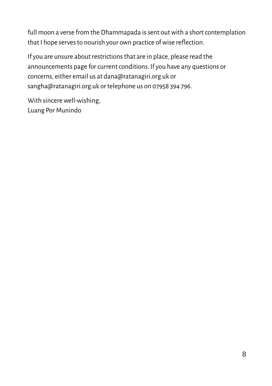full moon a verse from the Dhammapada is sent out with a short contemplation that I hope serves to nourish your own practice of wise reflection.

If you are unsure about restrictions that are in place, please read the announcements page for current conditions. If you have any questions or concerns, either email us at dana@ratanagiri.org.uk or sangha@ratanagiri.org.uk or telephone us on 07958 394 796.

With sincere well-wishing, Luang Por Munindo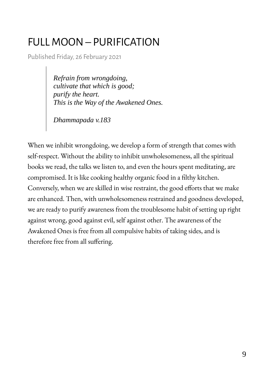#### <span id="page-8-0"></span>FULL MOON – PURIFICATION

Published Friday, 26 February 2021

*Refrain from wrongdoing, cultivate that which is good; purify the heart. This is the Way of the Awakened Ones.*

*Dhammapada v.183*

When we inhibit wrongdoing, we develop a form of strength that comes with self-respect. Without the ability to inhibit unwholesomeness, all the spiritual books we read, the talks we listen to, and even the hours spent meditating, are compromised. It is like cooking healthy organic food in a filthy kitchen. Conversely, when we are skilled in wise restraint, the good efforts that we make are enhanced. Then, with unwholesomeness restrained and goodness developed, we are ready to purify awareness from the troublesome habit of setting up right against wrong, good against evil, self against other. The awareness of the Awakened Ones is free from all compulsive habits of taking sides, and is therefore free from all suffering.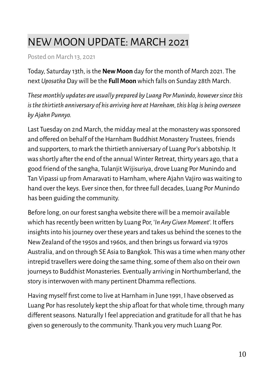#### <span id="page-9-0"></span>NEW MOON UPDATE: MARCH 2021

Posted on March 13, 2021

Today, Saturday 13th, is the **New Moon** day for the month of March 2021. The next *Uposatha* Day will be the **Full Moon** which falls on Sunday 28th March.

*These monthly updates are usually prepared by Luang Por Munindo, however since this is the thirtieth anniversary of his arriving here at Harnham, this blog is being overseen by Ajahn Punnyo.*

Last Tuesday on 2nd March, the midday meal at the monastery was sponsored and offered on behalf of the Harnham Buddhist Monastery Trustees, friends and supporters, to mark the thirtieth anniversary of Luang Por's abbotship. It was shortly after the end of the annual Winter Retreat, thirty years ago, that a good friend of the sangha, Tulanjit Wijisuriya, drove Luang Por Munindo and Tan Vipassi up from Amaravati to Harnham, where Ajahn Vajiro was waiting to hand over the keys. Ever since then, for three full decades, Luang Por Munindo has been guiding the community.

Before long, on our forest sangha website there will be a memoir available which has recently been written by Luang Por, '*In Any Given Moment*'. It offers insights into his journey over these years and takes us behind the scenes to the New Zealand of the 1950s and 1960s, and then brings us forward via 1970s Australia, and on through SE Asia to Bangkok. This was a time when many other intrepid travellers were doing the same thing, some of them also on their own journeys to Buddhist Monasteries. Eventually arriving in Northumberland, the story is interwoven with many pertinent Dhamma reflections.

Having myself first come to live at Harnham in June 1991, I have observed as Luang Por has resolutely kept the ship afloat for that whole time, through many different seasons. Naturally I feel appreciation and gratitude for all that he has given so generously to the community. Thank you very much Luang Por.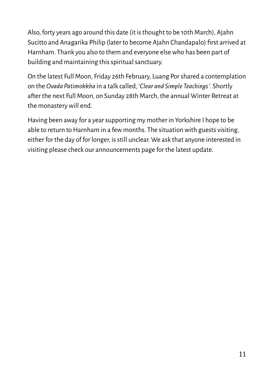Also, forty years ago around this date (it is thought to be 10th March), Ajahn Sucitto and Anagarika Philip (later to become Ajahn Chandapalo) first arrived at Harnham. Thank you also to them and everyone else who has been part of building and maintaining this spiritual sanctuary.

On the latest Full Moon, Friday 26th February, Luang Por shared a contemplation on the *Ovada Patimokkha* in a talk called, '*Clear and Simple Teachings* '. Shortly after the next Full Moon, on Sunday 28th March, the annual Winter Retreat at the monastery will end.

Having been away for a year supporting my mother in Yorkshire I hope to be able to return to Harnham in a few months. The situation with guests visiting, either for the day of for longer, is still unclear. We ask that anyone interested in visiting please check our announcements page for the latest update.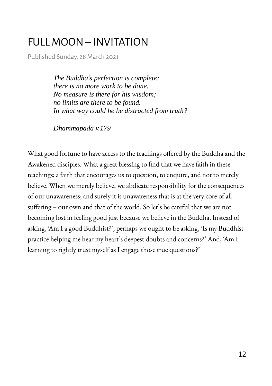#### <span id="page-11-0"></span>FULL MOON – INVITATION

Published Sunday, 28 March 2021

*The Buddha's perfection is complete; there is no more work to be done. No measure is there for his wisdom; no limits are there to be found. In what way could he be distracted from truth?*

*Dhammapada v.179*

What good fortune to have access to the teachings offered by the Buddha and the Awakened disciples. What a great blessing to find that we have faith in these teachings; a faith that encourages us to question, to enquire, and not to merely believe. When we merely believe, we abdicate responsibility for the consequences of our unawareness; and surely it is unawareness that is at the very core of all suffering – our own and that of the world. So let's be careful that we are not becoming lost in feeling good just because we believe in the Buddha. Instead of asking, 'Am I a good Buddhist?', perhaps we ought to be asking, 'Is my Buddhist practice helping me hear my heart's deepest doubts and concerns?' And, 'Am I learning to rightly trust myself as I engage those true questions?'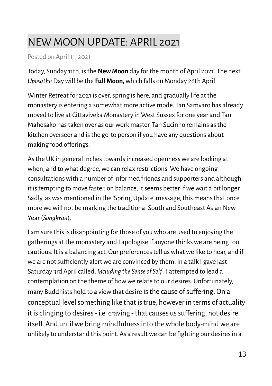#### <span id="page-12-0"></span>NEW MOON UPDATE: APRIL 2021

Posted on April 11, 2021

Today, Sunday 11th, is the **New Moon** day for the month of April 2021. The next *Uposatha* Day will be the **Full Moon,** which falls on Monday 26th April.

Winter Retreat for 2021 is over, spring is here, and gradually life at the monastery is entering a somewhat more active mode. Tan Samvaro has already moved to live at Cittaviveka Monastery in West Sussex for one year and Tan Mahesako has taken over as our work master. Tan Sucinno remains as the kitchen overseer and is the go-to person if you have any questions about making food offerings.

As the UK in general inches towards increased openness we are looking at when, and to what degree, we can relax restrictions. We have ongoing consultations with a number of informed friends and supporters and although it is tempting to move faster, on balance, it seems better if we wait a bit longer. Sadly, as was mentioned in the 'Spring Update' message, this means that once more we will not be marking the traditional South and Southeast Asian New Year (*Songkran*).

I am sure this is disappointing for those of you who are used to enjoying the gatherings at the monastery and I apologise if anyone thinks we are being too cautious. It is a balancing act. Our preferences tell us what we like to hear, and if we are not sufficiently alert we are convinced by them. In a talk I gave last Saturday 3rd April called, *Including the Sense of Self* , I attempted to lead a contemplation on the theme of how we relate to our desires. Unfortunately, many Buddhists hold to a view that desire is the cause of suffering. On a conceptual level something like that is true, however in terms of actuality it is clinging to desires - i.e. craving - that causes us suffering, not desire itself. And until we bring mindfulness into the whole body-mind we are unlikely to understand this point. As a result we can be fighting our desires in a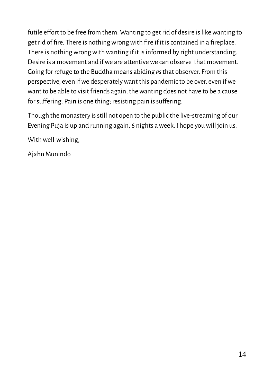futile effort to be free from them. Wanting to get rid of desire is like wanting to get rid of fire. There is nothing wrong with fire if it is contained in a fireplace. There is nothing wrong with wanting if it is informed by right understanding. Desire is a movement and if we are attentive we can observe that movement. Going for refuge to the Buddha means abiding *as* that observer. From this perspective, even if we desperately want this pandemic to be over, even if we want to be able to visit friends again, the wanting does not have to be a cause for suffering. Pain is one thing; resisting pain is suffering.

Though the monastery is still not open to the public the live-streaming of our Evening Puja is up and running again, 6 nights a week. I hope you will join us.

With well-wishing,

Ajahn Munindo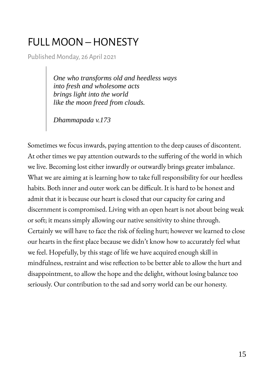#### <span id="page-14-0"></span>FULL MOON – HONESTY

Published Monday, 26 April 2021

*One who transforms old and heedless ways into fresh and wholesome acts brings light into the world like the moon freed from clouds.*

*Dhammapada v.173*

Sometimes we focus inwards, paying attention to the deep causes of discontent. At other times we pay attention outwards to the suffering of the world in which we live. Becoming lost either inwardly or outwardly brings greater imbalance. What we are aiming at is learning how to take full responsibility for our heedless habits. Both inner and outer work can be difficult. It is hard to be honest and admit that it is because our heart is closed that our capacity for caring and discernment is compromised. Living with an open heart is not about being weak or soft; it means simply allowing our native sensitivity to shine through. Certainly we will have to face the risk of feeling hurt; however we learned to close our hearts in the first place because we didn't know how to accurately feel what we feel. Hopefully, by this stage of life we have acquired enough skill in mindfulness, restraint and wise reflection to be better able to allow the hurt and disappointment, to allow the hope and the delight, without losing balance too seriously. Our contribution to the sad and sorry world can be our honesty.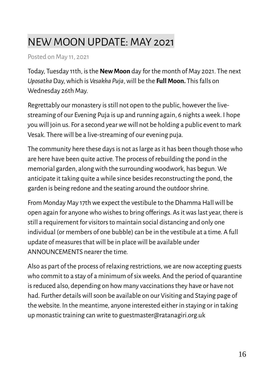#### <span id="page-15-0"></span>NEW MOON UPDATE: MAY 2021

Posted on May 11, 2021

Today, Tuesday 11th, is the **New Moon** day for the month of May 2021. The next *Uposatha* Day, which is *Vesakha Puja*, will be the **Full Moon.** This falls on Wednesday 26th May.

Regrettably our monastery is still not open to the public, however the livestreaming of our Evening Puja is up and running again, 6 nights a week. I hope you will join us. For a second year we will not be holding a public event to mark Vesak. There will be a live-streaming of our evening puja.

The community here these days is not as large as it has been though those who are here have been quite active. The process of rebuilding the pond in the memorial garden, along with the surrounding woodwork, has begun. We anticipate it taking quite a while since besides reconstructing the pond, the garden is being redone and the seating around the outdoor shrine.

From Monday May 17th we expect the vestibule to the Dhamma Hall will be open again for anyone who wishes to bring offerings. As it was last year, there is still a requirement for visitors to maintain social distancing and only one individual (or members of one bubble) can be in the vestibule at a time. A full update of measures that will be in place will be available under ANNOUNCEMENTS nearer the time.

Also as part of the process of relaxing restrictions, we are now accepting guests who commit to a stay of a minimum of six weeks. And the period of quarantine is reduced also, depending on how many vaccinations they have or have not had. Further details will soon be available on our Visiting and Staying page of the website. In the meantime, anyone interested either in staying or in taking up monastic training can write to guestmaster@ratanagiri.org.uk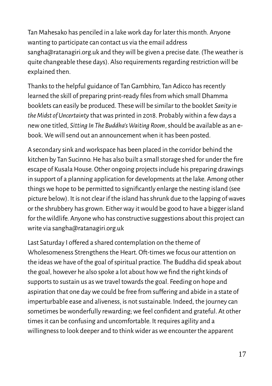Tan Mahesako has penciled in a lake work day for later this month. Anyone wanting to participate can contact us via the email address sangha@ratanagiri.org.uk and they will be given a precise date. (The weather is quite changeable these days). Also requirements regarding restriction will be explained then.

Thanks to the helpful guidance of Tan Gambhiro, Tan Adicco has recently learned the skill of preparing print-ready files from which small Dhamma booklets can easily be produced. These will be similar to the booklet *Sanity in the Midst of Uncertainty* that was printed in 2018. Probably within a few days a new one titled, *Sitting In The Buddha's Waiting Room*, should be available as an ebook. We will send out an announcement when it has been posted.

A secondary sink and workspace has been placed in the corridor behind the kitchen by Tan Sucinno. He has also built a small storage shed for under the fire escape of Kusala House. Other ongoing projects include his preparing drawings in support of a planning application for developments at the lake. Among other things we hope to be permitted to significantly enlarge the nesting island (see picture below). It is not clear if the island has shrunk due to the lapping of waves or the shrubbery has grown. Either way it would be good to have a bigger island for the wildlife. Anyone who has constructive suggestions about this project can write via sangha@ratanagiri.org.uk

Last Saturday I offered a shared contemplation on the theme of Wholesomeness Strengthens the Heart. Oft-times we focus our attention on the ideas we have of the goal of spiritual practice. The Buddha did speak about the goal, however he also spoke a lot about how we find the right kinds of supports to sustain us as we travel towards the goal. Feeding on hope and aspiration that one day we could be free from suffering and abide in a state of imperturbable ease and aliveness, is not sustainable. Indeed, the journey can sometimes be wonderfully rewarding; we feel confident and grateful. At other times it can be confusing and uncomfortable. It requires agility and a willingness to look deeper and to think wider as we encounter the apparent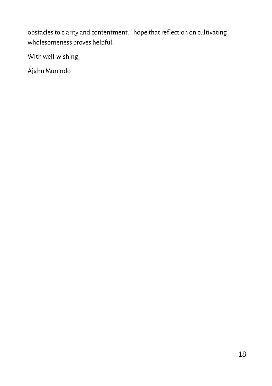obstacles to clarity and contentment. I hope that reflection on cultivating wholesomeness proves helpful.

With well-wishing,

Ajahn Munindo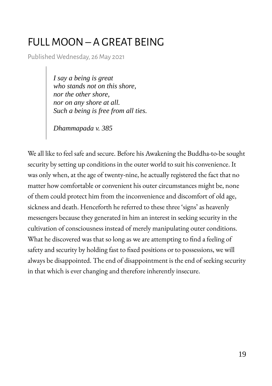#### <span id="page-18-0"></span>FULL MOON – A GREAT BEING

Published Wednesday, 26 May 2021

*I say a being is great who stands not on this shore, nor the other shore, nor on any shore at all. Such a being is free from all ties.*

*Dhammapada v. 385*

We all like to feel safe and secure. Before his Awakening the Buddha-to-be sought security by setting up conditions in the outer world to suit his convenience. It was only when, at the age of twenty-nine, he actually registered the fact that no matter how comfortable or convenient his outer circumstances might be, none of them could protect him from the inconvenience and discomfort of old age, sickness and death. Henceforth he referred to these three 'signs' as heavenly messengers because they generated in him an interest in seeking security in the cultivation of consciousness instead of merely manipulating outer conditions. What he discovered was that so long as we are attempting to find a feeling of safety and security by holding fast to fixed positions or to possessions, we will always be disappointed. The end of disappointment is the end of seeking security in that which is ever changing and therefore inherently insecure.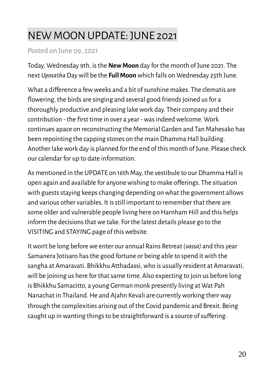### <span id="page-19-0"></span>NEW MOON UPDATE: JUNE 2021

#### Posted on June 09, 2021

Today, Wednesday 9th, is the **New Moon** day for the month of June 2021. The next *Uposatha* Day will be the **Full Moon** which falls on Wednesday 25th June.

What a difference a few weeks and a bit of sunshine makes. The clematis are flowering, the birds are singing and several good friends joined us for a thoroughly productive and pleasing lake work day. Their company and their contribution - the first time in over a year - was indeed welcome. Work continues apace on reconstructing the Memorial Garden and Tan Mahesako has been repointing the capping stones on the main Dhamma Hall building. Another lake work day is planned for the end of this month of June. Please check our calendar for up to date information.

As mentioned in the UPDATE on 16th May, the vestibule to our Dhamma Hall is open again and available for anyone wishing to make offerings. The situation with guests staying keeps changing depending on what the government allows and various other variables. It is still important to remember that there are some older and vulnerable people living here on Harnham Hill and this helps inform the decisions that we take. For the latest details please go to the VISITING and STAYING page of this website.

It won't be long before we enter our annual Rains Retreat (*vassa)* and this year Samanera Jotisaro has the good fortune or being able to spend it with the sangha at Amaravati. Bhikkhu Atthadassi, who is usually resident at Amaravati, will be joining us here for that same time. Also expecting to join us before long is Bhikkhu Samacitto, a young German monk presently living at Wat Pah Nanachat in Thailand. He and Ajahn Kevali are currently working their way through the complexities arising out of the Covid pandemic and Brexit. Being caught up in wanting things to be straightforward is a source of suffering.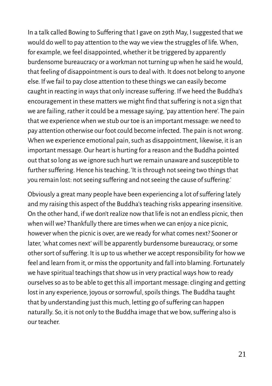In a talk called Bowing to Suffering that I gave on 29th May, I suggested that we would do well to pay attention to the way we view the struggles of life. When, for example, we feel disappointed, whether it be triggered by apparently burdensome bureaucracy or a workman not turning up when he said he would, that feeling of disappointment is ours to deal with. It does not belong to anyone else. If we fail to pay close attention to these things we can easily become caught in reacting in ways that only increase suffering. If we heed the Buddha's encouragement in these matters we might find that suffering is not a sign that we are failing, rather it could be a message saying, 'pay attention here'. The pain that we experience when we stub our toe is an important message: we need to pay attention otherwise our foot could become infected. The pain is not wrong. When we experience emotional pain, such as disappointment, likewise, it is an important message. Our heart is hurting for a reason and the Buddha pointed out that so long as we ignore such hurt we remain unaware and susceptible to further suffering. Hence his teaching, 'It is through not seeing two things that you remain lost: not seeing suffering and not seeing the cause of suffering.'

Obviously a great many people have been experiencing a lot of suffering lately and my raising this aspect of the Buddha's teaching risks appearing insensitive. On the other hand, if we don't realize now that life is not an endless picnic, then when will we? Thankfully there are times when we can enjoy a nice picnic, however when the picnic is over, are we ready for what comes next? Sooner or later, 'what comes next' will be apparently burdensome bureaucracy, or some other sort of suffering. It is up to us whether we accept responsibility for how we feel and learn from it, or miss the opportunity and fall into blaming. Fortunately we have spiritual teachings that show us in very practical ways how to ready ourselves so as to be able to get this all important message: clinging and getting lost in any experience, joyous or sorrowful, spoils things. The Buddha taught that by understanding just this much, letting go of suffering can happen naturally. So, it is not only to the Buddha image that we bow, suffering also is our teacher.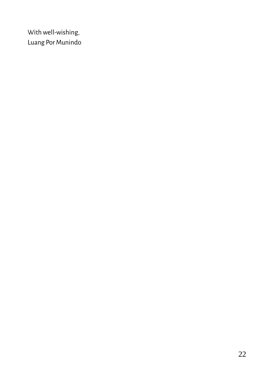With well-wishing, Luang Por Munindo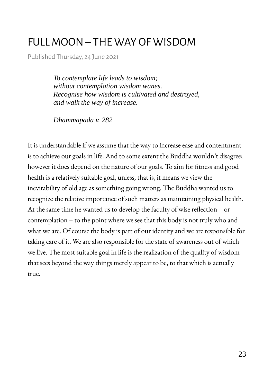#### <span id="page-22-0"></span>FULL MOON – THE WAY OF WISDOM

Published Thursday, 24 June 2021

*To contemplate life leads to wisdom; without contemplation wisdom wanes. Recognise how wisdom is cultivated and destroyed, and walk the way of increase.*

*Dhammapada v. 282*

It is understandable if we assume that the way to increase ease and contentment is to achieve our goals in life. And to some extent the Buddha wouldn't disagree; however it does depend on the nature of our goals. To aim for fitness and good health is a relatively suitable goal, unless, that is, it means we view the inevitability of old age as something going wrong. The Buddha wanted us to recognize the relative importance of such matters as maintaining physical health. At the same time he wanted us to develop the faculty of wise reflection – or contemplation – to the point where we see that this body is not truly who and what we are. Of course the body is part of our identity and we are responsible for taking care of it. We are also responsible for the state of awareness out of which we live. The most suitable goal in life is the realization of the quality of wisdom that sees beyond the way things merely appear to be, to that which is actually true.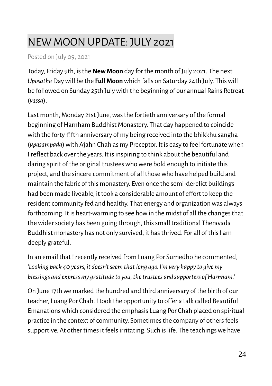#### <span id="page-23-0"></span>NEW MOON UPDATE: JULY 2021

Posted on July 09, 2021

Today, Friday 9th, is the **New Moon** day for the month of July 2021. The next *Uposatha* Day will be the **Full Moon** which falls on Saturday 24th July. This will be followed on Sunday 25th July with the beginning of our annual Rains Retreat (*vassa*).

Last month, Monday 21st June, was the fortieth anniversary of the formal beginning of Harnham Buddhist Monastery. That day happened to coincide with the forty-fifth anniversary of my being received into the bhikkhu sangha (*upasampada*) with Ajahn Chah as my Preceptor. It is easy to feel fortunate when I reflect back over the years. It is inspiring to think about the beautiful and daring spirit of the original trustees who were bold enough to initiate this project, and the sincere commitment of all those who have helped build and maintain the fabric of this monastery. Even once the semi-derelict buildings had been made liveable, it took a considerable amount of effort to keep the resident community fed and healthy. That energy and organization was always forthcoming. It is heart-warming to see how in the midst of all the changes that the wider society has been going through, this small traditional Theravada Buddhist monastery has not only survived, it has thrived. For all of this I am deeply grateful.

In an email that I recently received from Luang Por Sumedho he commented, *'Looking back 40 years, it doesn't seem that long ago. I'm very happy to give my blessings and express my gratitude to you, the trustees and supporters of Harnham.'*

On June 17th we marked the hundred and third anniversary of the birth of our teacher, Luang Por Chah. I took the opportunity to offer a talk called Beautiful Emanations which considered the emphasis Luang Por Chah placed on spiritual practice in the context of community. Sometimes the company of others feels supportive. At other times it feels irritating. Such is life. The teachings we have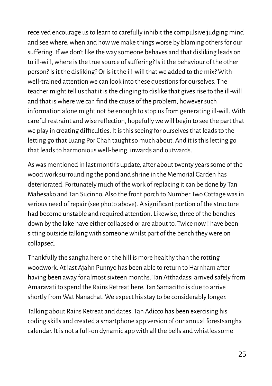received encourage us to learn to carefully inhibit the compulsive judging mind and see where, when and how we make things worse by blaming others for our suffering. If we don't like the way someone behaves and that disliking leads on to ill-will, where is the true source of suffering? Is it the behaviour of the other person? Is it the disliking? Or is it the ill-will that we added to the mix? With well-trained attention we can look into these questions for ourselves. The teacher might tell us that it is the clinging to dislike that gives rise to the ill-will and that is where we can find the cause of the problem, however such information alone might not be enough to stop us from generating ill-will. With careful restraint and wise reflection, hopefully we will begin to see the part that we play in creating difficulties. It is this seeing for ourselves that leads to the letting go that Luang Por Chah taught so much about. And it is this letting go that leads to harmonious well-being, inwards and outwards.

As was mentioned in last month's update, after about twenty years some of the wood work surrounding the pond and shrine in the Memorial Garden has deteriorated. Fortunately much of the work of replacing it can be done by Tan Mahesako and Tan Sucinno. Also the front porch to Number Two Cottage was in serious need of repair (see photo above). A significant portion of the structure had become unstable and required attention. Likewise, three of the benches down by the lake have either collapsed or are about to. Twice now I have been sitting outside talking with someone whilst part of the bench they were on collapsed.

Thankfully the sangha here on the hill is more healthy than the rotting woodwork. At last Ajahn Punnyo has been able to return to Harnham after having been away for almost sixteen months. Tan Atthadassi arrived safely from Amaravati to spend the Rains Retreat here. Tan Samacitto is due to arrive shortly from Wat Nanachat. We expect his stay to be considerably longer.

Talking about Rains Retreat and dates, Tan Adicco has been exercising his coding skills and created a smartphone app version of our annual forestsangha calendar. It is not a full-on dynamic app with all the bells and whistles some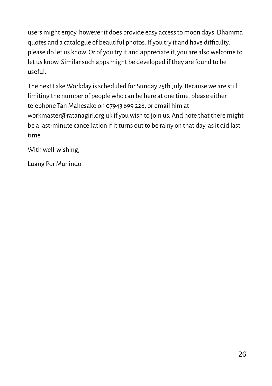users might enjoy, however it does provide easy access to moon days, Dhamma quotes and a catalogue of beautiful photos. If you try it and have difficulty, please do let us know. Or of you try it and appreciate it, you are also welcome to let us know. Similar such apps might be developed if they are found to be useful.

The next Lake Workday is scheduled for Sunday 25th July. Because we are still limiting the number of people who can be here at one time, please either telephone Tan Mahesako on 07943 699 228, or email him at workmaster@ratanagiri.org.uk if you wish to join us. And note that there might be a last-minute cancellation if it turns out to be rainy on that day, as it did last time.

With well-wishing,

Luang Por Munindo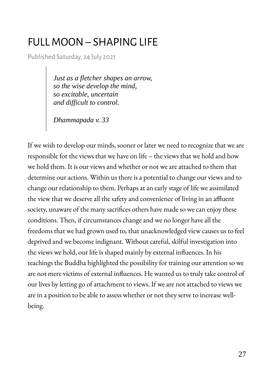#### <span id="page-26-0"></span>FULL MOON – SHAPING LIFE

Published Saturday, 24 July 2021

*Just as a fletcher shapes an arrow, so the wise develop the mind, so excitable, uncertain and difficult to control.*

*Dhammapada v. 33*

If we wish to develop our minds, sooner or later we need to recognize that we are responsible for the views that we have on life – the views that we hold and how we hold them. It is our views and whether or not we are attached to them that determine our actions. Within us there is a potential to change our views and to change our relationship to them. Perhaps at an early stage of life we assimilated the view that we deserve all the safety and convenience of living in an affluent society, unaware of the many sacrifices others have made so we can enjoy these conditions. Then, if circumstances change and we no longer have all the freedoms that we had grown used to, that unacknowledged view causes us to feel deprived and we become indignant. Without careful, skilful investigation into the views we hold, our life is shaped mainly by external influences. In his teachings the Buddha highlighted the possibility for training our attention so we are not mere victims of external influences. He wanted us to truly take control of our lives by letting go of attachment to views. If we are not attached to views we are in a position to be able to assess whether or not they serve to increase wellbeing.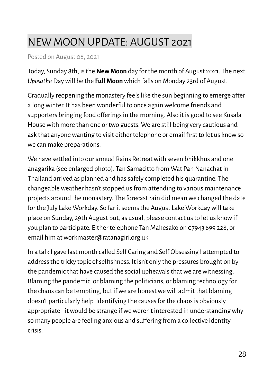#### <span id="page-27-0"></span>NEW MOON UPDATE: AUGUST 2021

Posted on August 08, 2021

Today, Sunday 8th, is the **New Moon** day for the month of August 2021. The next *Uposatha* Day will be the **Full Moon** which falls on Monday 23rd of August.

Gradually reopening the monastery feels like the sun beginning to emerge after a long winter. It has been wonderful to once again welcome friends and supporters bringing food offerings in the morning. Also it is good to see Kusala House with more than one or two guests. We are still being very cautious and ask that anyone wanting to visit either telephone or email first to let us know so we can make preparations.

We have settled into our annual Rains Retreat with seven bhikkhus and one anagarika (see enlarged photo). Tan Samacitto from Wat Pah Nanachat in Thailand arrived as planned and has safely completed his quarantine. The changeable weather hasn't stopped us from attending to various maintenance projects around the monastery. The forecast rain did mean we changed the date for the July Lake Workday. So far it seems the August Lake Workday will take place on Sunday, 29th August but, as usual, please contact us to let us know if you plan to participate. Either telephone Tan Mahesako on 07943 699 228, or email him at workmaster@ratanagiri.org.uk

In a talk I gave last month called Self Caring and Self Obsessing I attempted to address the tricky topic of selfishness. It isn't only the pressures brought on by the pandemic that have caused the social upheavals that we are witnessing. Blaming the pandemic, or blaming the politicians, or blaming technology for the chaos can be tempting, but if we are honest we will admit that blaming doesn't particularly help. Identifying the causes for the chaos is obviously appropriate - it would be strange if we weren't interested in understanding why so many people are feeling anxious and suffering from a collective identity crisis.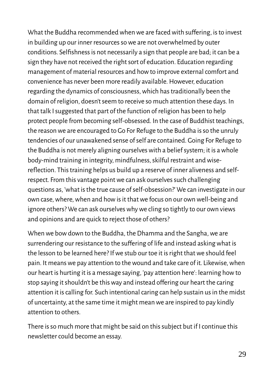What the Buddha recommended when we are faced with suffering, is to invest in building up our inner resources so we are not overwhelmed by outer conditions. Selfishness is not necessarily a sign that people are bad; it can be a sign they have not received the right sort of education. Education regarding management of material resources and how to improve external comfort and convenience has never been more readily available. However, education regarding the dynamics of consciousness, which has traditionally been the domain of religion, doesn't seem to receive so much attention these days. In that talk I suggested that part of the function of religion has been to help protect people from becoming self-obsessed. In the case of Buddhist teachings, the reason we are encouraged to Go For Refuge to the Buddha is so the unruly tendencies of our unawakened sense of self are contained. Going For Refuge to the Buddha is not merely aligning ourselves with a belief system; it is a whole body-mind training in integrity, mindfulness, skilful restraint and wisereflection. This training helps us build up a reserve of inner aliveness and selfrespect. From this vantage point we can ask ourselves such challenging questions as, 'what is the true cause of self-obsession?' We can investigate in our own case, where, when and how is it that we focus on our own well-being and ignore others? We can ask ourselves why we cling so tightly to our own views and opinions and are quick to reject those of others?

When we bow down to the Buddha, the Dhamma and the Sangha, we are surrendering our resistance to the suffering of life and instead asking what is the lesson to be learned here? If we stub our toe it is right that we should feel pain. It means we pay attention to the wound and take care of it. Likewise, when our heart is hurting it is a message saying, 'pay attention here': learning how to stop saying it shouldn't be this way and instead offering our heart the caring attention it is calling for. Such intentional caring can help sustain us in the midst of uncertainty, at the same time it might mean we are inspired to pay kindly attention to others.

There is so much more that might be said on this subject but if I continue this newsletter could become an essay.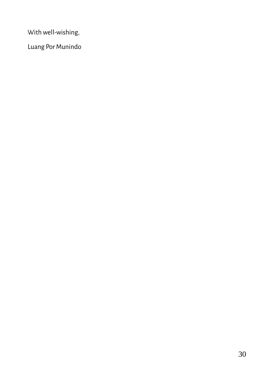With well-wishing,

Luang Por Munindo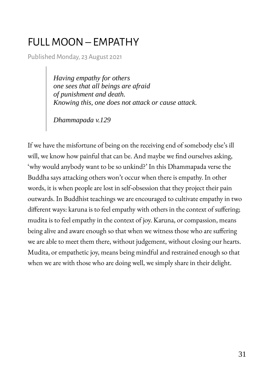#### <span id="page-30-0"></span>FULL MOON – EMPATHY

Published Monday, 23 August 2021

*Having empathy for others one sees that all beings are afraid of punishment and death. Knowing this, one does not attack or cause attack.*

*Dhammapada v.129*

If we have the misfortune of being on the receiving end of somebody else's ill will, we know how painful that can be. And maybe we find ourselves asking, 'why would anybody want to be so unkind?' In this Dhammapada verse the Buddha says attacking others won't occur when there is empathy. In other words, it is when people are lost in self-obsession that they project their pain outwards. In Buddhist teachings we are encouraged to cultivate empathy in two different ways: karuna is to feel empathy with others in the context of suffering; mudita is to feel empathy in the context of joy. Karuna, or compassion, means being alive and aware enough so that when we witness those who are suffering we are able to meet them there, without judgement, without closing our hearts. Mudita, or empathetic joy, means being mindful and restrained enough so that when we are with those who are doing well, we simply share in their delight.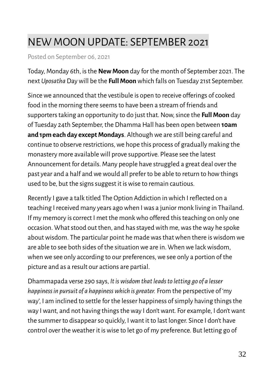#### <span id="page-31-0"></span>NEW MOON UPDATE: SEPTEMBER 2021

Posted on September 06, 2021

Today, Monday 6th, is the **New Moon** day for the month of September 2021. The next *Uposatha* Day will be the **Full Moon** which falls on Tuesday 21st September.

Since we announced that the vestibule is open to receive offerings of cooked food in the morning there seems to have been a stream of friends and supporters taking an opportunity to do just that. Now, since the **Full Moon** day of Tuesday 24th September, the Dhamma Hall has been open between **10am and 1pm each day except Mondays**. Although we are still being careful and continue to observe restrictions, we hope this process of gradually making the monastery more available will prove supportive. Please see the latest Announcement for details. Many people have struggled a great deal over the past year and a half and we would all prefer to be able to return to how things used to be, but the signs suggest it is wise to remain cautious.

Recently I gave a talk titled The Option Addiction in which I reflected on a teaching I received many years ago when I was a junior monk living in Thailand. If my memory is correct I met the monk who offered this teaching on only one occasion. What stood out then, and has stayed with me, was the way he spoke about wisdom. The particular point he made was that when there is wisdom we are able to see both sides of the situation we are in. When we lack wisdom, when we see only according to our preferences, we see only a portion of the picture and as a result our actions are partial.

Dhammapada verse 290 says, *It is wisdom that leads to letting go of a lesser happiness in pursuit of a happiness which is greater.* From the perspective of 'my way', I am inclined to settle for the lesser happiness of simply having things the way I want, and not having things the way I don't want. For example, I don't want the summer to disappear so quickly, I want it to last longer. Since I don't have control over the weather it is wise to let go of my preference. But letting go of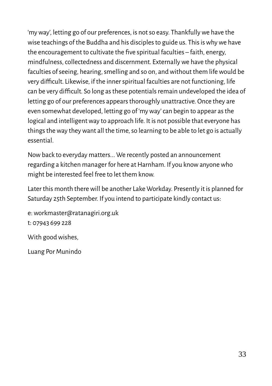'my way', letting go of our preferences, is not so easy. Thankfully we have the wise teachings of the Buddha and his disciples to guide us. This is why we have the encouragement to cultivate the five spiritual faculties – faith, energy, mindfulness, collectedness and discernment. Externally we have the physical faculties of seeing, hearing, smelling and so on, and without them life would be very difficult. Likewise, if the inner spiritual faculties are not functioning, life can be very difficult. So long as these potentials remain undeveloped the idea of letting go of our preferences appears thoroughly unattractive. Once they are even somewhat developed, letting go of 'my way' can begin to appear as the logical and intelligent way to approach life. It is not possible that everyone has things the way they want all the time, so learning to be able to let go is actually essential.

Now back to everyday matters... We recently posted an announcement regarding a kitchen manager for here at Harnham. If you know anyone who might be interested feel free to let them know.

Later this month there will be another Lake Workday. Presently it is planned for Saturday 25th September. If you intend to participate kindly contact us:

e: workmaster@ratanagiri.org.uk t: 07943 699 228 With good wishes,

Luang Por Munindo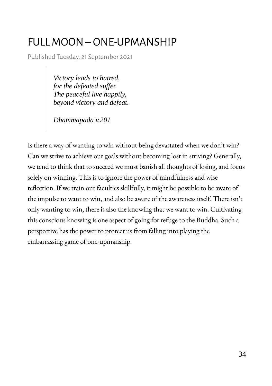#### <span id="page-33-0"></span>FULL MOON – ONE-UPMANSHIP

Published Tuesday, 21 September 2021

*Victory leads to hatred, for the defeated suffer. The peaceful live happily, beyond victory and defeat.*

*Dhammapada v.201*

Is there a way of wanting to win without being devastated when we don't win? Can we strive to achieve our goals without becoming lost in striving? Generally, we tend to think that to succeed we must banish all thoughts of losing, and focus solely on winning. This is to ignore the power of mindfulness and wise reflection. If we train our faculties skillfully, it might be possible to be aware of the impulse to want to win, and also be aware of the awareness itself. There isn't only wanting to win, there is also the knowing that we want to win. Cultivating this conscious knowing is one aspect of going for refuge to the Buddha. Such a perspective has the power to protect us from falling into playing the embarrassing game of one-upmanship.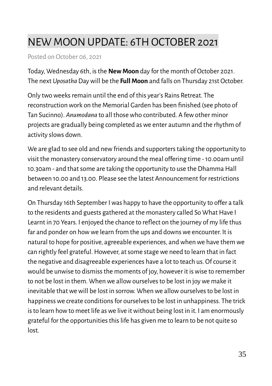#### <span id="page-34-0"></span>NEW MOON UPDATE: 6TH OCTOBER 2021

Posted on October 06, 2021

Today, Wednesday 6th, is the **New Moon** day for the month of October 2021. The next *Uposatha* Day will be the **Full Moon** and falls on Thursday 21st October.

Only two weeks remain until the end of this year's Rains Retreat. The reconstruction work on the Memorial Garden has been finished (see photo of Tan Sucinno). *Anumodana* to all those who contributed. A few other minor projects are gradually being completed as we enter autumn and the rhythm of activity slows down.

We are glad to see old and new friends and supporters taking the opportunity to visit the monastery conservatory around the meal offering time - 10.00am until 10.30am - and that some are taking the opportunity to use the Dhamma Hall between 10.00 and 13.00. Please see the latest Announcement for restrictions and relevant details.

On Thursday 16th September I was happy to have the opportunity to offer a talk to the residents and guests gathered at the monastery called So What Have I Learnt in 70 Years. I enjoyed the chance to reflect on the journey of my life thus far and ponder on how we learn from the ups and downs we encounter. It is natural to hope for positive, agreeable experiences, and when we have them we can rightly feel grateful. However, at some stage we need to learn that in fact the negative and disagreeable experiences have a lot to teach us. Of course it would be unwise to dismiss the moments of joy, however it is wise to remember to not be lost in them. When we allow ourselves to be lost in joy we make it inevitable that we will be lost in sorrow. When we allow ourselves to be lost in happiness we create conditions for ourselves to be lost in unhappiness. The trick is to learn how to meet life as we live it without being lost in it. I am enormously grateful for the opportunities this life has given me to learn to be not quite so lost.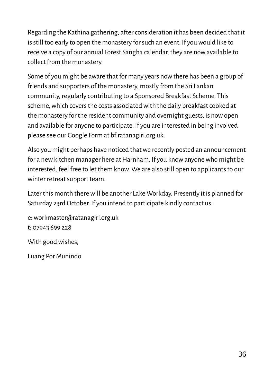Regarding the Kathina gathering, after consideration it has been decided that it is still too early to open the monastery for such an event. If you would like to receive a copy of our annual Forest Sangha calendar, they are now available to collect from the monastery.

Some of you might be aware that for many years now there has been a group of friends and supporters of the monastery, mostly from the Sri Lankan community, regularly contributing to a Sponsored Breakfast Scheme. This scheme, which covers the costs associated with the daily breakfast cooked at the monastery for the resident community and overnight guests, is now open and available for anyone to participate. If you are interested in being involved please see our Google Form at bf.ratanagiri.org.uk.

Also you might perhaps have noticed that we recently posted an announcement for a new kitchen manager here at Harnham. If you know anyone who might be interested, feel free to let them know. We are also still open to applicants to our winter retreat support team.

Later this month there will be another Lake Workday. Presently it is planned for Saturday 23rd October. If you intend to participate kindly contact us:

e: workmaster@ratanagiri.org.uk t: 07943 699 228

With good wishes,

Luang Por Munindo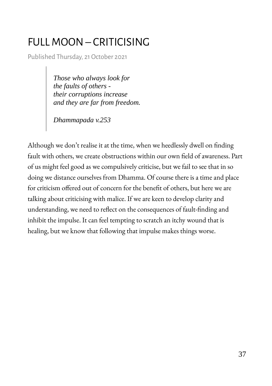### <span id="page-36-0"></span>FULL MOON – CRITICISING

Published Thursday, 21 October 2021

*Those who always look for the faults of others their corruptions increase and they are far from freedom.*

*Dhammapada v.253*

Although we don't realise it at the time, when we heedlessly dwell on finding fault with others, we create obstructions within our own field of awareness. Part of us might feel good as we compulsively criticise, but we fail to see that in so doing we distance ourselves from Dhamma. Of course there is a time and place for criticism offered out of concern for the benefit of others, but here we are talking about criticising with malice. If we are keen to develop clarity and understanding, we need to reflect on the consequences of fault-finding and inhibit the impulse. It can feel tempting to scratch an itchy wound that is healing, but we know that following that impulse makes things worse.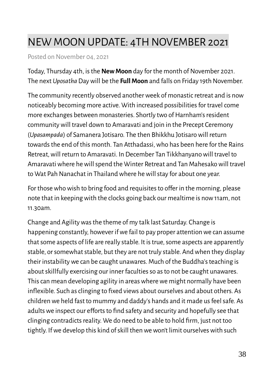#### <span id="page-37-0"></span>NEW MOON UPDATE: 4TH NOVEMBER 2021

Posted on November 04, 2021

Today, Thursday 4th, is the **New Moon** day for the month of November 2021. The next *Uposatha* Day will be the **Full Moon** and falls on Friday 19th November.

The community recently observed another week of monastic retreat and is now noticeably becoming more active. With increased possibilities for travel come more exchanges between monasteries. Shortly two of Harnham's resident community will travel down to Amaravati and join in the Precept Ceremony (*Upasampada*) of Samanera Jotisaro. The then Bhikkhu Jotisaro will return towards the end of this month. Tan Atthadassi, who has been here for the Rains Retreat, will return to Amaravati. In December Tan Tikkhanyano will travel to Amaravati where he will spend the Winter Retreat and Tan Mahesako will travel to Wat Pah Nanachat in Thailand where he will stay for about one year.

For those who wish to bring food and requisites to offer in the morning, please note that in keeping with the clocks going back our mealtime is now 11am, not 11.30am.

Change and Agility was the theme of my talk last Saturday. Change is happening constantly, however if we fail to pay proper attention we can assume that some aspects of life are really stable. It is true, some aspects are apparently stable, or somewhat stable, but they are not truly stable. And when they display their instability we can be caught unawares. Much of the Buddha's teaching is about skillfully exercising our inner faculties so as to not be caught unawares. This can mean developing agility in areas where we might normally have been inflexible. Such as clinging to fixed views about ourselves and about others. As children we held fast to mummy and daddy's hands and it made us feel safe. As adults we inspect our efforts to find safety and security and hopefully see that clinging contradicts reality. We do need to be able to hold firm, just not too tightly. If we develop this kind of skill then we won't limit ourselves with such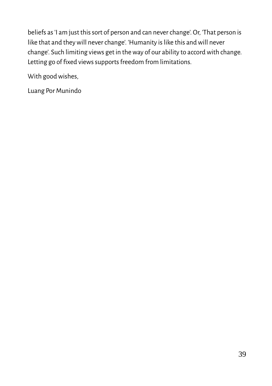beliefs as 'I am just this sort of person and can never change'. Or, 'That person is like that and they will never change'. 'Humanity is like this and will never change'. Such limiting views get in the way of our ability to accord with change. Letting go of fixed views supports freedom from limitations.

With good wishes,

Luang Por Munindo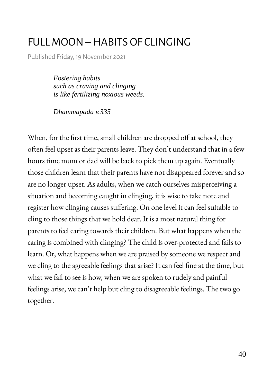#### <span id="page-39-0"></span>FULL MOON – HABITS OF CLINGING

Published Friday, 19 November 2021

*Fostering habits such as craving and clinging is like fertilizing noxious weeds.*

*Dhammapada v.335*

When, for the first time, small children are dropped off at school, they often feel upset as their parents leave. They don't understand that in a few hours time mum or dad will be back to pick them up again. Eventually those children learn that their parents have not disappeared forever and so are no longer upset. As adults, when we catch ourselves misperceiving a situation and becoming caught in clinging, it is wise to take note and register how clinging causes suffering. On one level it can feel suitable to cling to those things that we hold dear. It is a most natural thing for parents to feel caring towards their children. But what happens when the caring is combined with clinging? The child is over-protected and fails to learn. Or, what happens when we are praised by someone we respect and we cling to the agreeable feelings that arise? It can feel fine at the time, but what we fail to see is how, when we are spoken to rudely and painful feelings arise, we can't help but cling to disagreeable feelings. The two go together.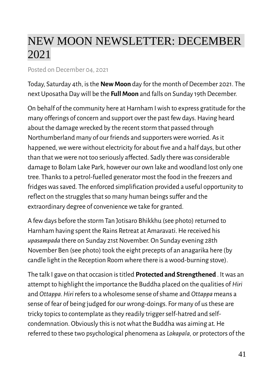## <span id="page-40-0"></span>NEW MOON NEWSLETTER: DECEMBER 2021

#### Posted on December 04, 2021

Today, Saturday 4th, is the **New Moon** day for the month of December 2021. The next Uposatha Day will be the **Full Moon** and falls on Sunday 19th December.

On behalf of the community here at Harnham I wish to express gratitude for the many offerings of concern and support over the past few days. Having heard about the damage wrecked by the recent storm that passed through Northumberland many of our friends and supporters were worried. As it happened, we were without electricity for about five and a half days, but other than that we were not too seriously affected. Sadly there was considerable damage to Bolam Lake Park, however our own lake and woodland lost only one tree. Thanks to a petrol-fuelled generator most the food in the freezers and fridges was saved. The enforced simplification provided a useful opportunity to reflect on the struggles that so many human beings suffer and the extraordinary degree of convenience we take for granted.

A few days before the storm Tan Jotisaro Bhikkhu (see photo) returned to Harnham having spent the Rains Retreat at Amaravati. He received his *upasampada* there on Sunday 21st November. On Sunday evening 28th November Ben (see photo) took the eight precepts of an anagarika here (by candle light in the Reception Room where there is a wood-burning stove).

The talk I gave on that occasion is titled **Protected and Strengthened** . It was an attempt to highlight the importance the Buddha placed on the qualities of *Hiri*  and *Ottappa. Hiri* refers to a wholesome sense of shame and *Ottappa* means a sense of fear of being judged for our wrong-doings. For many of us these are tricky topics to contemplate as they readily trigger self-hatred and selfcondemnation. Obviously this is not what the Buddha was aiming at. He referred to these two psychological phenomena as *Lokapala,* or protectors of the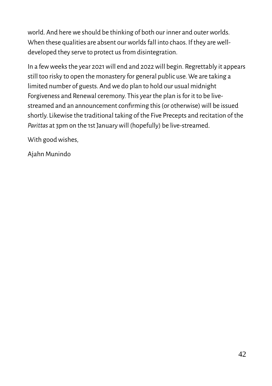world. And here we should be thinking of both our inner and outer worlds. When these qualities are absent our worlds fall into chaos. If they are welldeveloped they serve to protect us from disintegration.

In a few weeks the year 2021 will end and 2022 will begin. Regrettably it appears still too risky to open the monastery for general public use. We are taking a limited number of guests. And we do plan to hold our usual midnight Forgiveness and Renewal ceremony. This year the plan is for it to be livestreamed and an announcement confirming this (or otherwise) will be issued shortly. Likewise the traditional taking of the Five Precepts and recitation of the *Parittas* at 3pm on the 1st January will (hopefully) be live-streamed.

With good wishes,

Ajahn Munindo